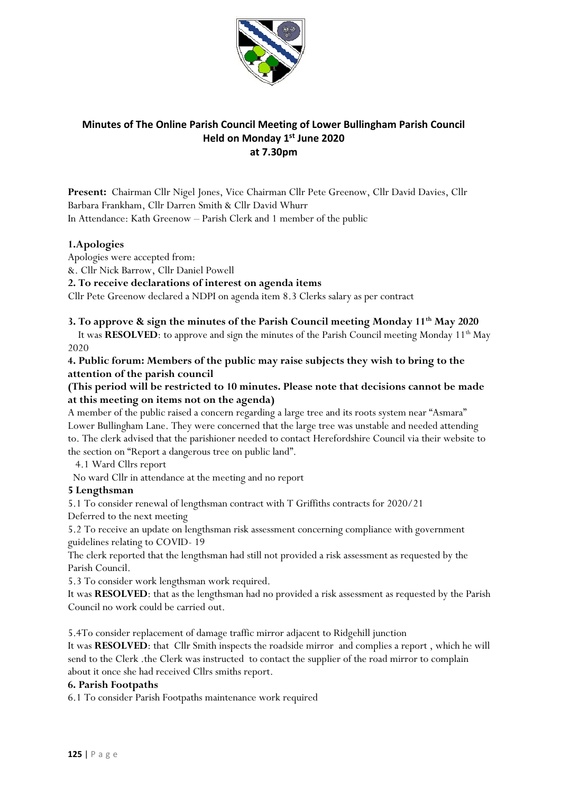

# **Minutes of The Online Parish Council Meeting of Lower Bullingham Parish Council Held on Monday 1 st June 2020 at 7.30pm**

**Present:** Chairman Cllr Nigel Jones, Vice Chairman Cllr Pete Greenow, Cllr David Davies, Cllr Barbara Frankham, Cllr Darren Smith & Cllr David Whurr In Attendance: Kath Greenow – Parish Clerk and 1 member of the public

## **1.Apologies**

Apologies were accepted from:

&. Cllr Nick Barrow, Cllr Daniel Powell

**2. To receive declarations of interest on agenda items**

Cllr Pete Greenow declared a NDPI on agenda item 8.3 Clerks salary as per contract

## **3. To approve & sign the minutes of the Parish Council meeting Monday 11th May 2020**

It was **RESOLVED**: to approve and sign the minutes of the Parish Council meeting Monday 11<sup>th</sup> May 2020

**4. Public forum: Members of the public may raise subjects they wish to bring to the attention of the parish council**

## **(This period will be restricted to 10 minutes. Please note that decisions cannot be made at this meeting on items not on the agenda)**

A member of the public raised a concern regarding a large tree and its roots system near "Asmara" Lower Bullingham Lane. They were concerned that the large tree was unstable and needed attending to. The clerk advised that the parishioner needed to contact Herefordshire Council via their website to the section on "Report a dangerous tree on public land".

4.1 Ward Cllrs report

No ward Cllr in attendance at the meeting and no report

## **5 Lengthsman**

5.1 To consider renewal of lengthsman contract with T Griffiths contracts for 2020/21

Deferred to the next meeting

5.2 To receive an update on lengthsman risk assessment concerning compliance with government guidelines relating to COVID- 19

The clerk reported that the lengthsman had still not provided a risk assessment as requested by the Parish Council.

5.3 To consider work lengthsman work required.

It was **RESOLVED**: that as the lengthsman had no provided a risk assessment as requested by the Parish Council no work could be carried out.

5.4To consider replacement of damage traffic mirror adjacent to Ridgehill junction

It was **RESOLVED**: that Cllr Smith inspects the roadside mirror and complies a report , which he will send to the Clerk .the Clerk was instructed to contact the supplier of the road mirror to complain about it once she had received Cllrs smiths report.

#### **6. Parish Footpaths**

6.1 To consider Parish Footpaths maintenance work required